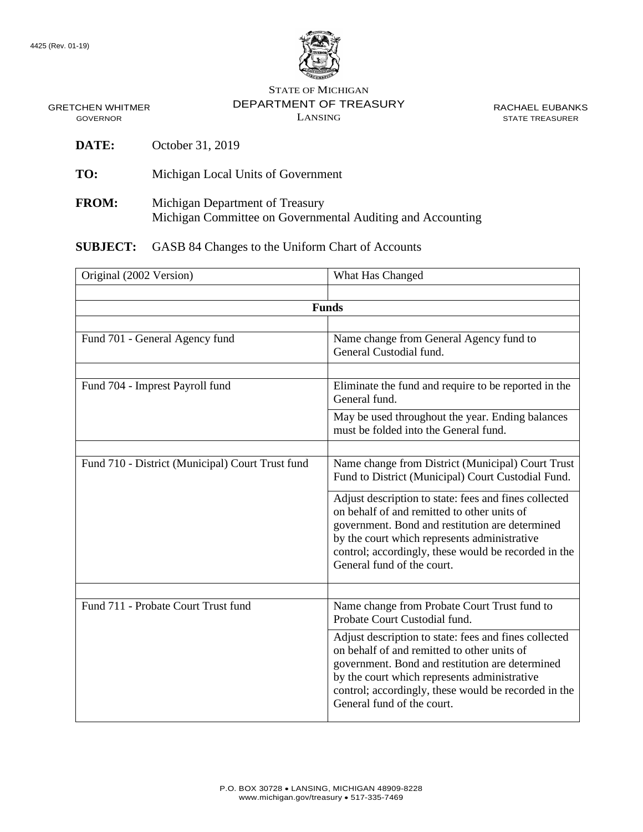

STATE OF MICHIGAN DEPARTMENT OF TREASURY LANSING

RACHAEL EUBANKS STATE TREASURER

GRETCHEN WHITMER GOVERNOR

- **DATE:** October 31, 2019
- **TO:** Michigan Local Units of Government
- **FROM:** Michigan Department of Treasury Michigan Committee on Governmental Auditing and Accounting

**SUBJECT:** GASB 84 Changes to the Uniform Chart of Accounts

| Original (2002 Version)                          | What Has Changed                                                                                                                                                                                                                                                                              |
|--------------------------------------------------|-----------------------------------------------------------------------------------------------------------------------------------------------------------------------------------------------------------------------------------------------------------------------------------------------|
|                                                  |                                                                                                                                                                                                                                                                                               |
| <b>Funds</b>                                     |                                                                                                                                                                                                                                                                                               |
|                                                  |                                                                                                                                                                                                                                                                                               |
| Fund 701 - General Agency fund                   | Name change from General Agency fund to<br>General Custodial fund.                                                                                                                                                                                                                            |
|                                                  |                                                                                                                                                                                                                                                                                               |
| Fund 704 - Imprest Payroll fund                  | Eliminate the fund and require to be reported in the<br>General fund.                                                                                                                                                                                                                         |
|                                                  | May be used throughout the year. Ending balances<br>must be folded into the General fund.                                                                                                                                                                                                     |
|                                                  |                                                                                                                                                                                                                                                                                               |
| Fund 710 - District (Municipal) Court Trust fund | Name change from District (Municipal) Court Trust<br>Fund to District (Municipal) Court Custodial Fund.                                                                                                                                                                                       |
|                                                  | Adjust description to state: fees and fines collected<br>on behalf of and remitted to other units of<br>government. Bond and restitution are determined<br>by the court which represents administrative<br>control; accordingly, these would be recorded in the<br>General fund of the court. |
|                                                  |                                                                                                                                                                                                                                                                                               |
| Fund 711 - Probate Court Trust fund              | Name change from Probate Court Trust fund to<br>Probate Court Custodial fund.                                                                                                                                                                                                                 |
|                                                  | Adjust description to state: fees and fines collected<br>on behalf of and remitted to other units of<br>government. Bond and restitution are determined<br>by the court which represents administrative<br>control; accordingly, these would be recorded in the<br>General fund of the court. |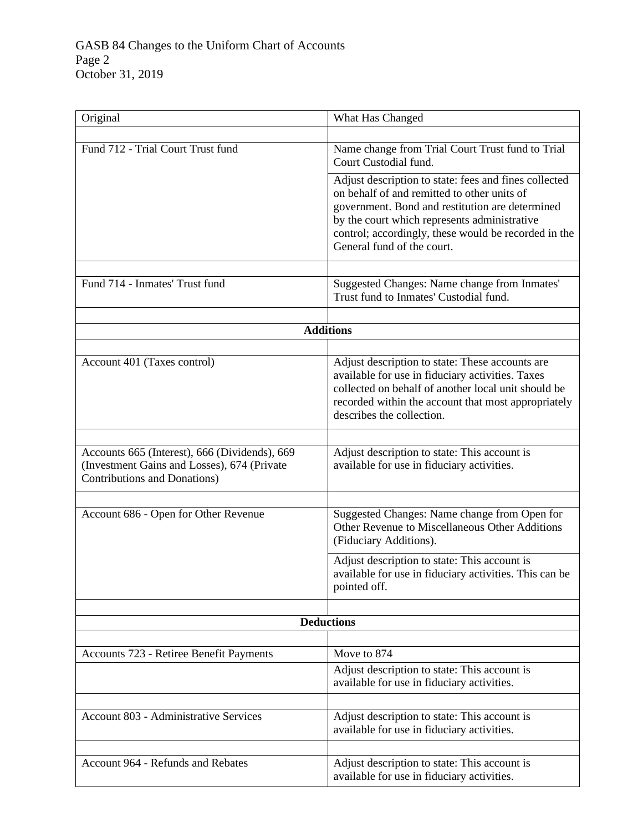| Original                                                                                                                     | What Has Changed                                                                                                                                                                                                                                                                              |  |
|------------------------------------------------------------------------------------------------------------------------------|-----------------------------------------------------------------------------------------------------------------------------------------------------------------------------------------------------------------------------------------------------------------------------------------------|--|
|                                                                                                                              |                                                                                                                                                                                                                                                                                               |  |
| Fund 712 - Trial Court Trust fund                                                                                            | Name change from Trial Court Trust fund to Trial<br>Court Custodial fund.                                                                                                                                                                                                                     |  |
|                                                                                                                              | Adjust description to state: fees and fines collected<br>on behalf of and remitted to other units of<br>government. Bond and restitution are determined<br>by the court which represents administrative<br>control; accordingly, these would be recorded in the<br>General fund of the court. |  |
| Fund 714 - Inmates' Trust fund                                                                                               | Suggested Changes: Name change from Inmates'<br>Trust fund to Inmates' Custodial fund.                                                                                                                                                                                                        |  |
|                                                                                                                              | <b>Additions</b>                                                                                                                                                                                                                                                                              |  |
|                                                                                                                              |                                                                                                                                                                                                                                                                                               |  |
| Account 401 (Taxes control)                                                                                                  | Adjust description to state: These accounts are<br>available for use in fiduciary activities. Taxes<br>collected on behalf of another local unit should be<br>recorded within the account that most appropriately<br>describes the collection.                                                |  |
|                                                                                                                              |                                                                                                                                                                                                                                                                                               |  |
| Accounts 665 (Interest), 666 (Dividends), 669<br>(Investment Gains and Losses), 674 (Private<br>Contributions and Donations) | Adjust description to state: This account is<br>available for use in fiduciary activities.                                                                                                                                                                                                    |  |
|                                                                                                                              |                                                                                                                                                                                                                                                                                               |  |
| Account 686 - Open for Other Revenue                                                                                         | Suggested Changes: Name change from Open for<br>Other Revenue to Miscellaneous Other Additions<br>(Fiduciary Additions).                                                                                                                                                                      |  |
|                                                                                                                              | Adjust description to state: This account is<br>available for use in fiduciary activities. This can be<br>pointed off.                                                                                                                                                                        |  |
|                                                                                                                              |                                                                                                                                                                                                                                                                                               |  |
| <b>Deductions</b>                                                                                                            |                                                                                                                                                                                                                                                                                               |  |
|                                                                                                                              |                                                                                                                                                                                                                                                                                               |  |
| Accounts 723 - Retiree Benefit Payments                                                                                      | Move to 874                                                                                                                                                                                                                                                                                   |  |
|                                                                                                                              | Adjust description to state: This account is<br>available for use in fiduciary activities.                                                                                                                                                                                                    |  |
|                                                                                                                              |                                                                                                                                                                                                                                                                                               |  |
| <b>Account 803 - Administrative Services</b>                                                                                 | Adjust description to state: This account is<br>available for use in fiduciary activities.                                                                                                                                                                                                    |  |
|                                                                                                                              |                                                                                                                                                                                                                                                                                               |  |
| Account 964 - Refunds and Rebates                                                                                            | Adjust description to state: This account is<br>available for use in fiduciary activities.                                                                                                                                                                                                    |  |